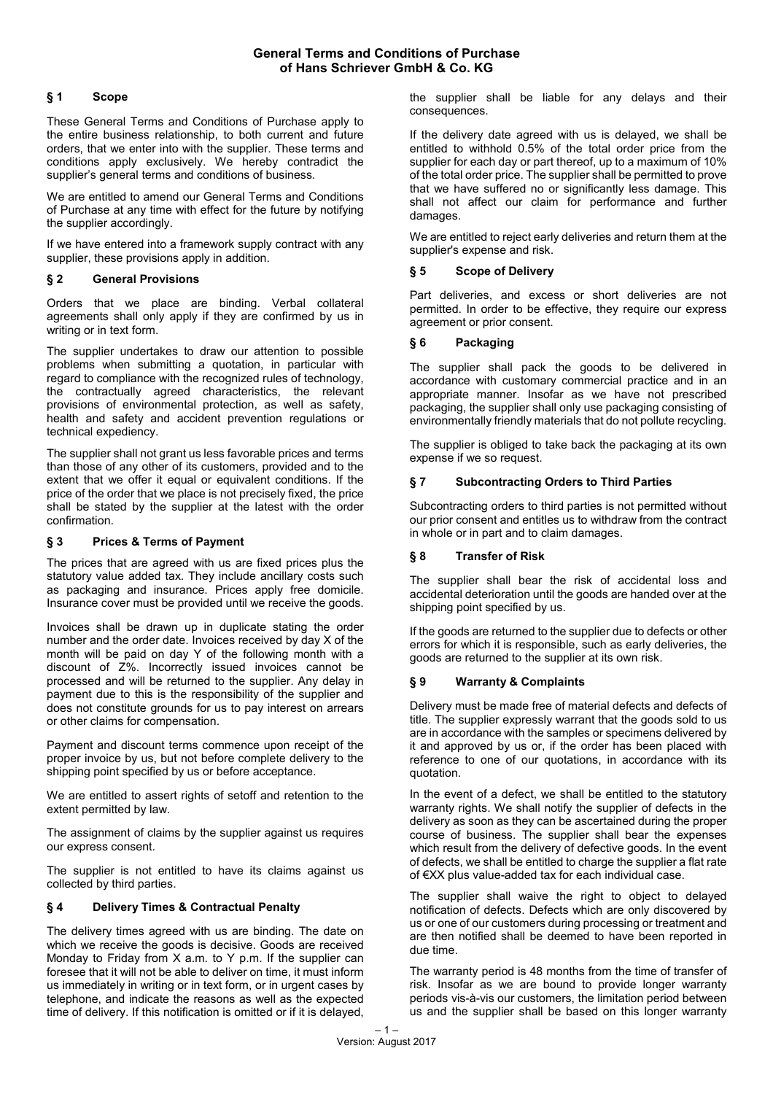## **General Terms and Conditions of Purchase of Hans Schriever GmbH & Co. KG**

# **§ 1 Scope**

These General Terms and Conditions of Purchase apply to the entire business relationship, to both current and future orders, that we enter into with the supplier. These terms and conditions apply exclusively. We hereby contradict the supplier's general terms and conditions of business.

We are entitled to amend our General Terms and Conditions of Purchase at any time with effect for the future by notifying the supplier accordingly.

If we have entered into a framework supply contract with any supplier, these provisions apply in addition.

### **§ 2 General Provisions**

Orders that we place are binding. Verbal collateral agreements shall only apply if they are confirmed by us in writing or in text form.

The supplier undertakes to draw our attention to possible problems when submitting a quotation, in particular with regard to compliance with the recognized rules of technology, the contractually agreed characteristics, the relevant provisions of environmental protection, as well as safety, health and safety and accident prevention regulations or technical expediency.

The supplier shall not grant us less favorable prices and terms than those of any other of its customers, provided and to the extent that we offer it equal or equivalent conditions. If the price of the order that we place is not precisely fixed, the price shall be stated by the supplier at the latest with the order confirmation.

#### **§ 3 Prices & Terms of Payment**

The prices that are agreed with us are fixed prices plus the statutory value added tax. They include ancillary costs such as packaging and insurance. Prices apply free domicile. Insurance cover must be provided until we receive the goods.

Invoices shall be drawn up in duplicate stating the order number and the order date. Invoices received by day X of the month will be paid on day Y of the following month with a discount of Z%. Incorrectly issued invoices cannot be processed and will be returned to the supplier. Any delay in payment due to this is the responsibility of the supplier and does not constitute grounds for us to pay interest on arrears or other claims for compensation.

Payment and discount terms commence upon receipt of the proper invoice by us, but not before complete delivery to the shipping point specified by us or before acceptance.

We are entitled to assert rights of setoff and retention to the extent permitted by law.

The assignment of claims by the supplier against us requires our express consent.

The supplier is not entitled to have its claims against us collected by third parties.

## **§ 4 Delivery Times & Contractual Penalty**

The delivery times agreed with us are binding. The date on which we receive the goods is decisive. Goods are received Monday to Friday from X a.m. to Y p.m. If the supplier can foresee that it will not be able to deliver on time, it must inform us immediately in writing or in text form, or in urgent cases by telephone, and indicate the reasons as well as the expected time of delivery. If this notification is omitted or if it is delayed,

the supplier shall be liable for any delays and their consequences.

If the delivery date agreed with us is delayed, we shall be entitled to withhold 0.5% of the total order price from the supplier for each day or part thereof, up to a maximum of 10% of the total order price. The supplier shall be permitted to prove that we have suffered no or significantly less damage. This shall not affect our claim for performance and further damages.

We are entitled to reject early deliveries and return them at the supplier's expense and risk.

#### **§ 5 Scope of Delivery**

Part deliveries, and excess or short deliveries are not permitted. In order to be effective, they require our express agreement or prior consent.

#### **§ 6 Packaging**

The supplier shall pack the goods to be delivered in accordance with customary commercial practice and in an appropriate manner. Insofar as we have not prescribed packaging, the supplier shall only use packaging consisting of environmentally friendly materials that do not pollute recycling.

The supplier is obliged to take back the packaging at its own expense if we so request.

#### **§ 7 Subcontracting Orders to Third Parties**

Subcontracting orders to third parties is not permitted without our prior consent and entitles us to withdraw from the contract in whole or in part and to claim damages.

### **§ 8 Transfer of Risk**

The supplier shall bear the risk of accidental loss and accidental deterioration until the goods are handed over at the shipping point specified by us.

If the goods are returned to the supplier due to defects or other errors for which it is responsible, such as early deliveries, the goods are returned to the supplier at its own risk.

### **§ 9 Warranty & Complaints**

Delivery must be made free of material defects and defects of title. The supplier expressly warrant that the goods sold to us are in accordance with the samples or specimens delivered by it and approved by us or, if the order has been placed with reference to one of our quotations, in accordance with its quotation.

In the event of a defect, we shall be entitled to the statutory warranty rights. We shall notify the supplier of defects in the delivery as soon as they can be ascertained during the proper course of business. The supplier shall bear the expenses which result from the delivery of defective goods. In the event of defects, we shall be entitled to charge the supplier a flat rate of €XX plus value-added tax for each individual case.

The supplier shall waive the right to object to delayed notification of defects. Defects which are only discovered by us or one of our customers during processing or treatment and are then notified shall be deemed to have been reported in due time.

The warranty period is 48 months from the time of transfer of risk. Insofar as we are bound to provide longer warranty periods vis-à-vis our customers, the limitation period between us and the supplier shall be based on this longer warranty